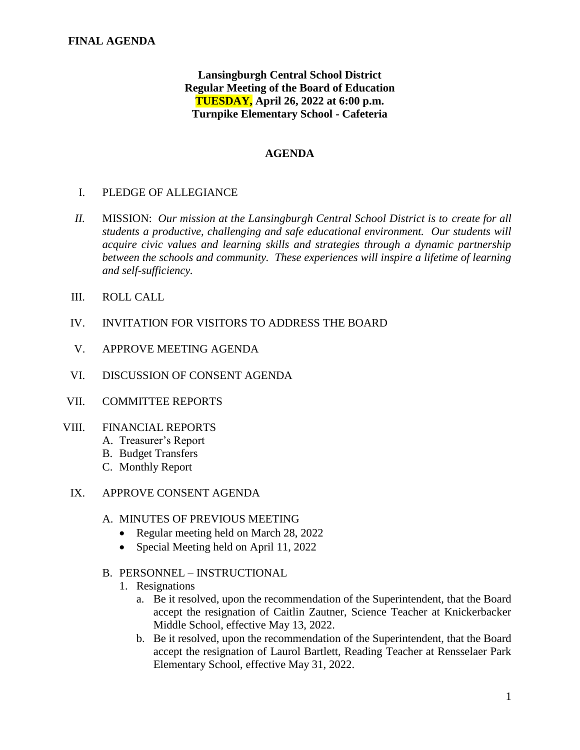# **Lansingburgh Central School District Regular Meeting of the Board of Education TUESDAY, April 26, 2022 at 6:00 p.m. Turnpike Elementary School - Cafeteria**

### **AGENDA**

### I. PLEDGE OF ALLEGIANCE

- *II.* MISSION: *Our mission at the Lansingburgh Central School District is to create for all students a productive, challenging and safe educational environment. Our students will acquire civic values and learning skills and strategies through a dynamic partnership between the schools and community. These experiences will inspire a lifetime of learning and self-sufficiency.*
- III. ROLL CALL
- IV. INVITATION FOR VISITORS TO ADDRESS THE BOARD
- V. APPROVE MEETING AGENDA
- VI. DISCUSSION OF CONSENT AGENDA
- VII. COMMITTEE REPORTS
- VIII. FINANCIAL REPORTS
	- A. Treasurer's Report
	- B. Budget Transfers
	- C. Monthly Report
	- IX. APPROVE CONSENT AGENDA
		- A. MINUTES OF PREVIOUS MEETING
			- Regular meeting held on March 28, 2022
			- Special Meeting held on April 11, 2022
		- B. PERSONNEL INSTRUCTIONAL
			- 1. Resignations
				- a. Be it resolved, upon the recommendation of the Superintendent, that the Board accept the resignation of Caitlin Zautner, Science Teacher at Knickerbacker Middle School, effective May 13, 2022.
				- b. Be it resolved, upon the recommendation of the Superintendent, that the Board accept the resignation of Laurol Bartlett, Reading Teacher at Rensselaer Park Elementary School, effective May 31, 2022.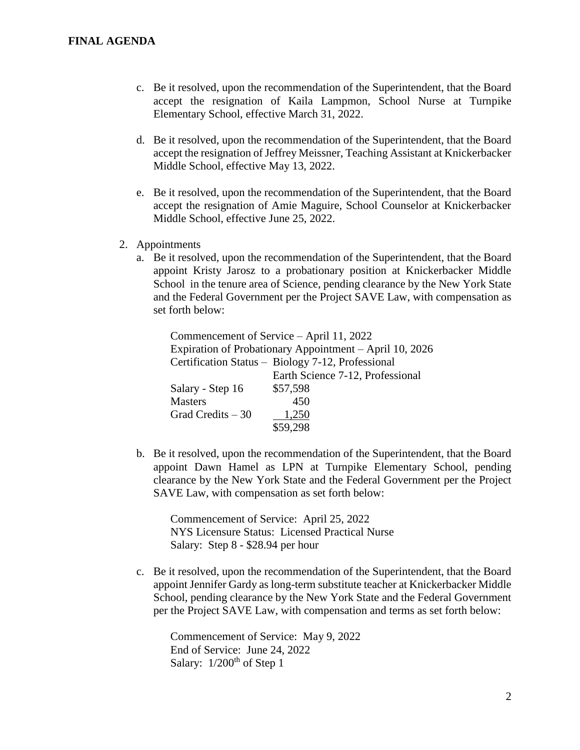- c. Be it resolved, upon the recommendation of the Superintendent, that the Board accept the resignation of Kaila Lampmon, School Nurse at Turnpike Elementary School, effective March 31, 2022.
- d. Be it resolved, upon the recommendation of the Superintendent, that the Board accept the resignation of Jeffrey Meissner, Teaching Assistant at Knickerbacker Middle School, effective May 13, 2022.
- e. Be it resolved, upon the recommendation of the Superintendent, that the Board accept the resignation of Amie Maguire, School Counselor at Knickerbacker Middle School, effective June 25, 2022.
- 2. Appointments
	- a. Be it resolved, upon the recommendation of the Superintendent, that the Board appoint Kristy Jarosz to a probationary position at Knickerbacker Middle School in the tenure area of Science, pending clearance by the New York State and the Federal Government per the Project SAVE Law, with compensation as set forth below:

|                                                   | Commencement of Service – April 11, 2022                |  |
|---------------------------------------------------|---------------------------------------------------------|--|
|                                                   | Expiration of Probationary Appointment – April 10, 2026 |  |
| Certification Status - Biology 7-12, Professional |                                                         |  |
|                                                   | Earth Science 7-12, Professional                        |  |
| Salary - Step 16                                  | \$57,598                                                |  |
| <b>Masters</b>                                    | 450                                                     |  |
| Grad Credits $-30$                                | 1,250                                                   |  |
|                                                   | \$59,298                                                |  |

b. Be it resolved, upon the recommendation of the Superintendent, that the Board appoint Dawn Hamel as LPN at Turnpike Elementary School, pending clearance by the New York State and the Federal Government per the Project SAVE Law, with compensation as set forth below:

Commencement of Service: April 25, 2022 NYS Licensure Status: Licensed Practical Nurse Salary: Step 8 - \$28.94 per hour

c. Be it resolved, upon the recommendation of the Superintendent, that the Board appoint Jennifer Gardy as long-term substitute teacher at Knickerbacker Middle School, pending clearance by the New York State and the Federal Government per the Project SAVE Law, with compensation and terms as set forth below:

Commencement of Service: May 9, 2022 End of Service: June 24, 2022 Salary:  $1/200<sup>th</sup>$  of Step 1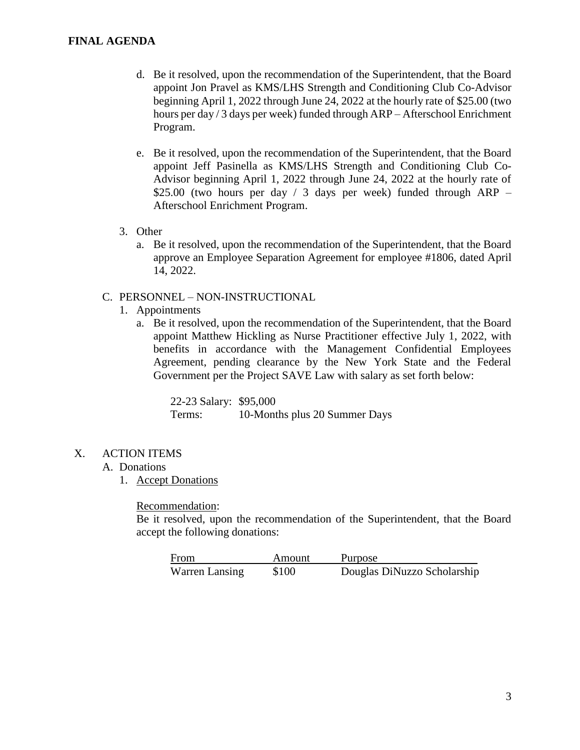### **FINAL AGENDA**

- d. Be it resolved, upon the recommendation of the Superintendent, that the Board appoint Jon Pravel as KMS/LHS Strength and Conditioning Club Co-Advisor beginning April 1, 2022 through June 24, 2022 at the hourly rate of \$25.00 (two hours per day / 3 days per week) funded through ARP – Afterschool Enrichment Program.
- e. Be it resolved, upon the recommendation of the Superintendent, that the Board appoint Jeff Pasinella as KMS/LHS Strength and Conditioning Club Co-Advisor beginning April 1, 2022 through June 24, 2022 at the hourly rate of \$25.00 (two hours per day / 3 days per week) funded through ARP – Afterschool Enrichment Program.
- 3. Other
	- a. Be it resolved, upon the recommendation of the Superintendent, that the Board approve an Employee Separation Agreement for employee #1806, dated April 14, 2022.

### C. PERSONNEL – NON-INSTRUCTIONAL

- 1. Appointments
	- a. Be it resolved, upon the recommendation of the Superintendent, that the Board appoint Matthew Hickling as Nurse Practitioner effective July 1, 2022, with benefits in accordance with the Management Confidential Employees Agreement, pending clearance by the New York State and the Federal Government per the Project SAVE Law with salary as set forth below:

22-23 Salary: \$95,000 Terms: 10-Months plus 20 Summer Days

X. ACTION ITEMS

#### A. Donations

1. Accept Donations

Recommendation:

Be it resolved, upon the recommendation of the Superintendent, that the Board accept the following donations:

| From           | Amount | Purpose                     |
|----------------|--------|-----------------------------|
| Warren Lansing | \$100  | Douglas DiNuzzo Scholarship |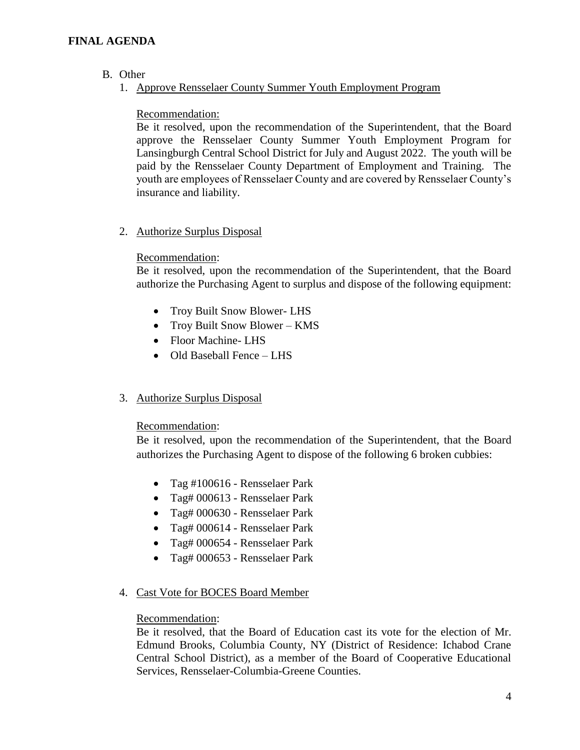## **FINAL AGENDA**

- B. Other
	- 1. Approve Rensselaer County Summer Youth Employment Program

### Recommendation:

Be it resolved, upon the recommendation of the Superintendent, that the Board approve the Rensselaer County Summer Youth Employment Program for Lansingburgh Central School District for July and August 2022. The youth will be paid by the Rensselaer County Department of Employment and Training. The youth are employees of Rensselaer County and are covered by Rensselaer County's insurance and liability.

2. Authorize Surplus Disposal

### Recommendation:

Be it resolved, upon the recommendation of the Superintendent, that the Board authorize the Purchasing Agent to surplus and dispose of the following equipment:

- Troy Built Snow Blower-LHS
- Troy Built Snow Blower KMS
- Floor Machine-LHS
- Old Baseball Fence LHS
- 3. Authorize Surplus Disposal

### Recommendation:

Be it resolved, upon the recommendation of the Superintendent, that the Board authorizes the Purchasing Agent to dispose of the following 6 broken cubbies:

- Tag #100616 Rensselaer Park
- Tag# 000613 Rensselaer Park
- Tag# 000630 Rensselaer Park
- Tag# 000614 Rensselaer Park
- Tag# 000654 Rensselaer Park
- Tag# 000653 Rensselaer Park

# 4. Cast Vote for BOCES Board Member

### Recommendation:

Be it resolved, that the Board of Education cast its vote for the election of Mr. Edmund Brooks, Columbia County, NY (District of Residence: Ichabod Crane Central School District), as a member of the Board of Cooperative Educational Services, Rensselaer-Columbia-Greene Counties.